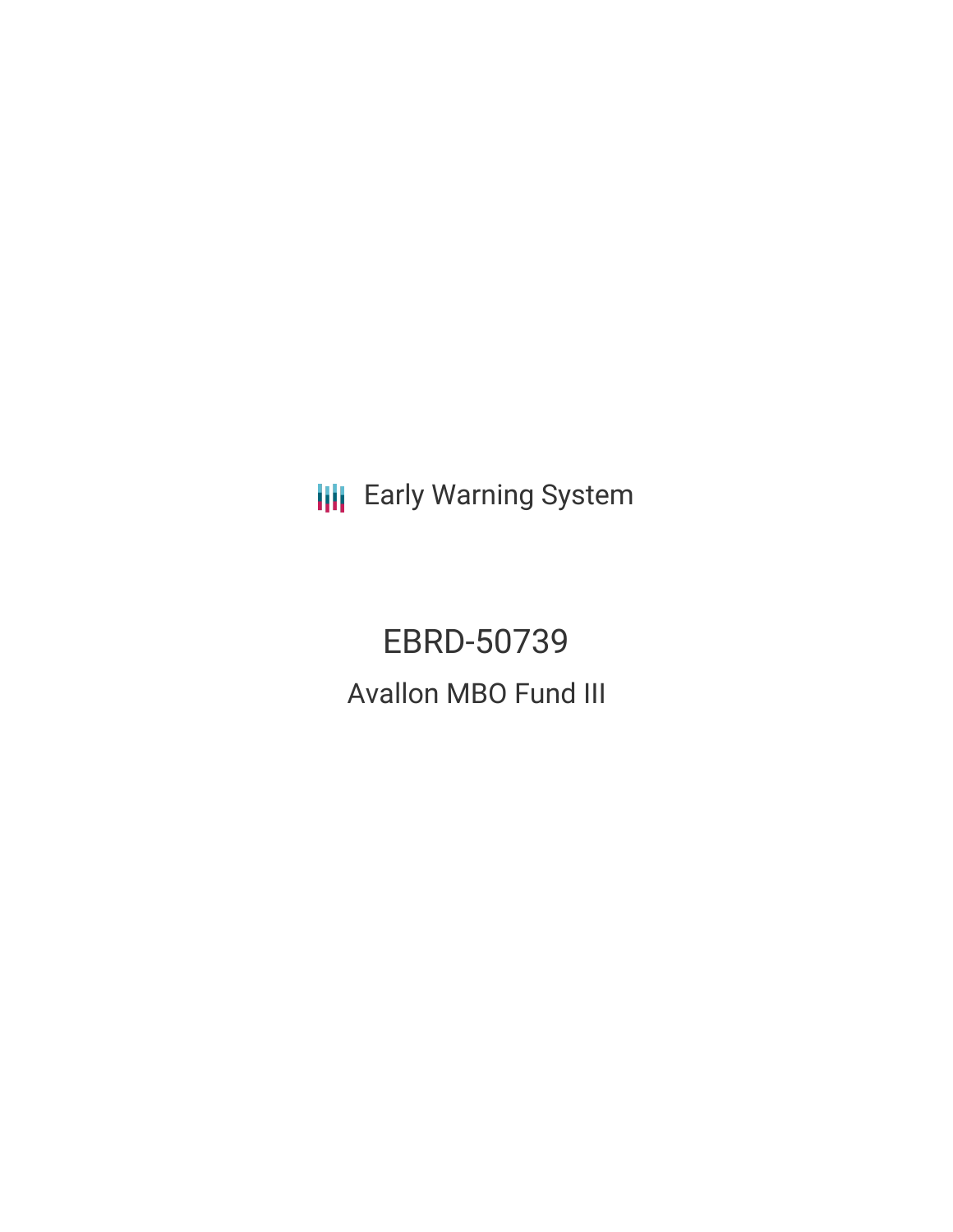**III** Early Warning System

EBRD-50739 Avallon MBO Fund III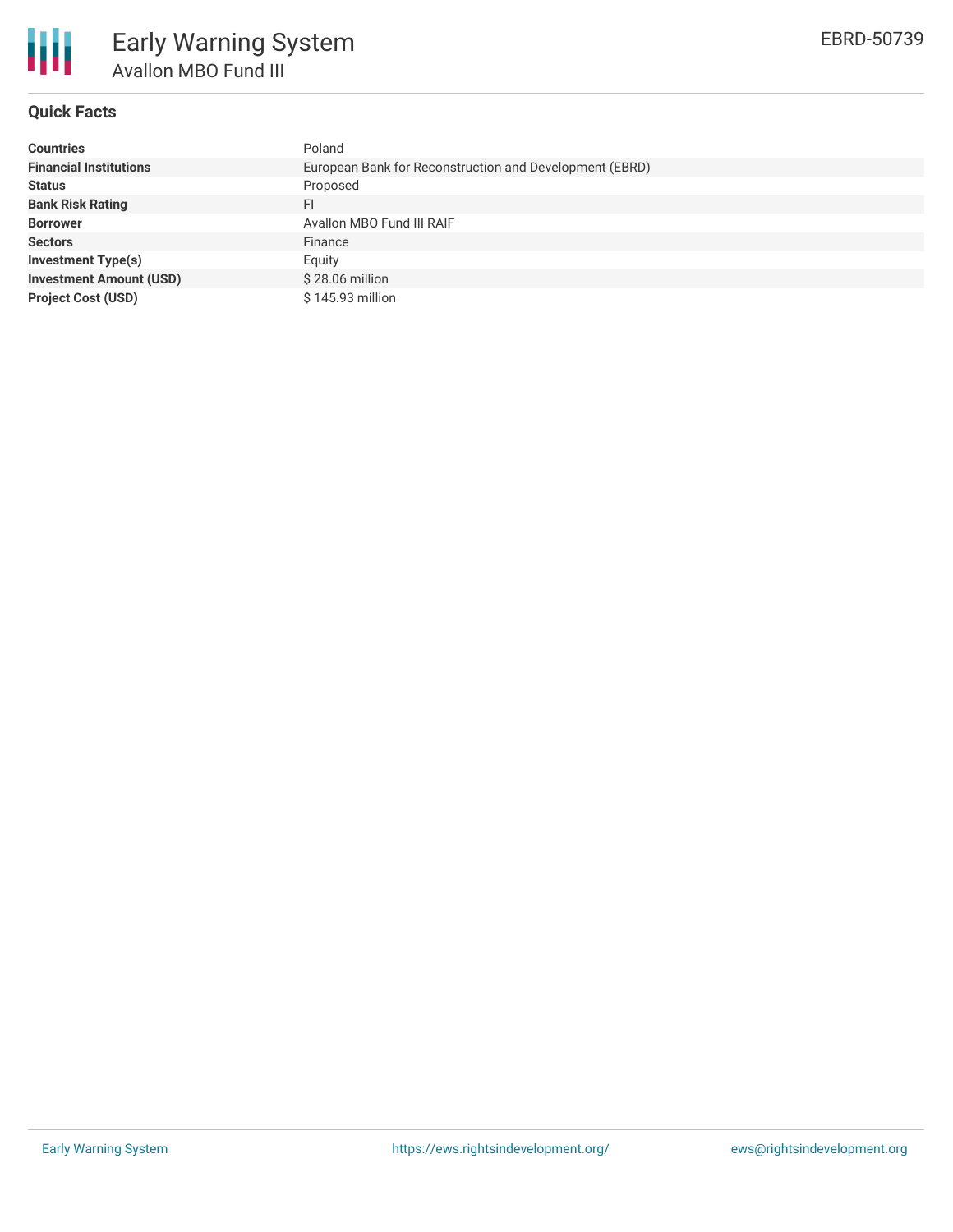

## **Quick Facts**

| <b>Countries</b>               | Poland                                                  |
|--------------------------------|---------------------------------------------------------|
| <b>Financial Institutions</b>  | European Bank for Reconstruction and Development (EBRD) |
| <b>Status</b>                  | Proposed                                                |
| <b>Bank Risk Rating</b>        | FI                                                      |
| <b>Borrower</b>                | Avallon MBO Fund III RAIF                               |
| <b>Sectors</b>                 | Finance                                                 |
| <b>Investment Type(s)</b>      | Equity                                                  |
| <b>Investment Amount (USD)</b> | $$28.06$ million                                        |
| <b>Project Cost (USD)</b>      | \$145.93 million                                        |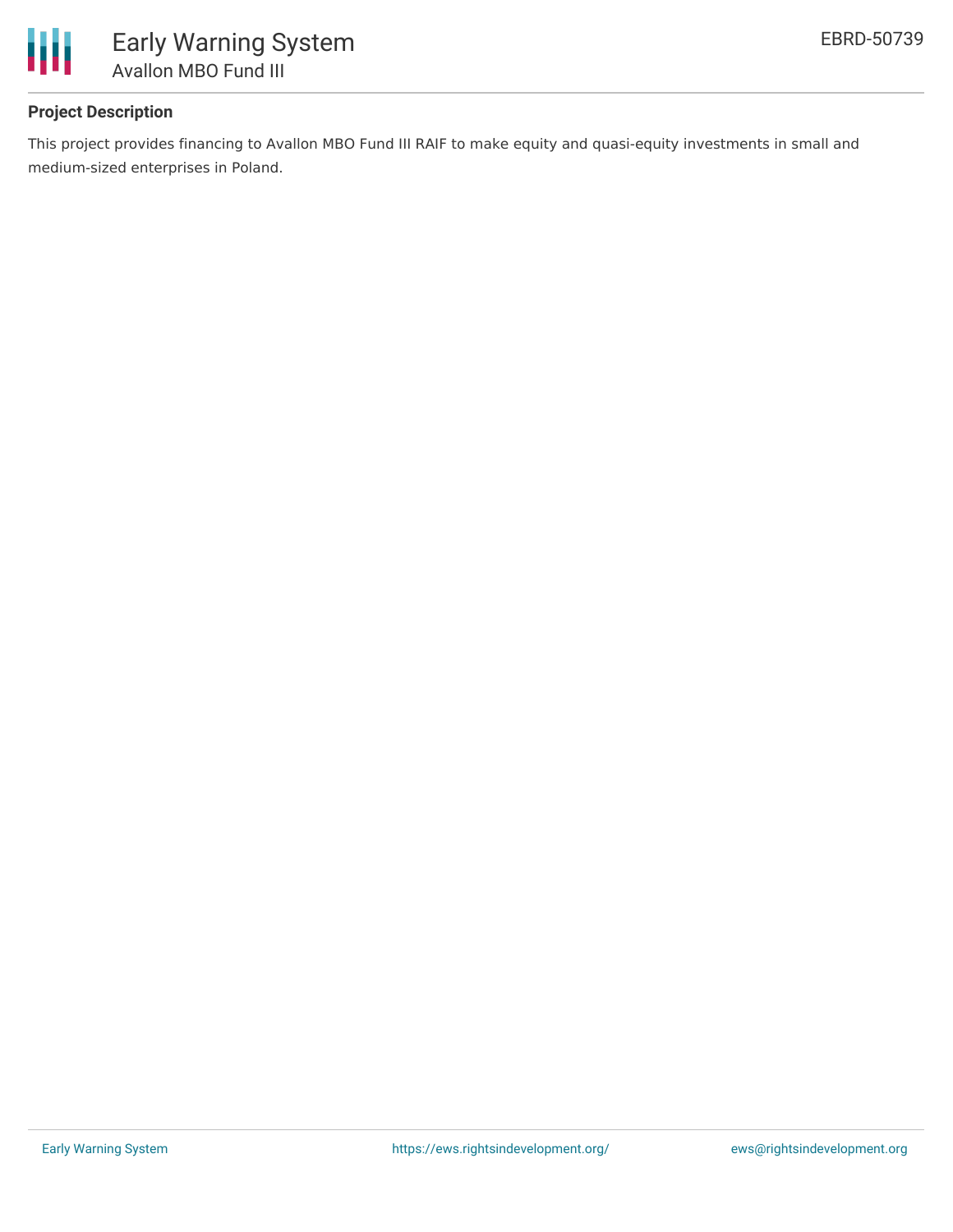

# **Project Description**

This project provides financing to Avallon MBO Fund III RAIF to make equity and quasi-equity investments in small and medium-sized enterprises in Poland.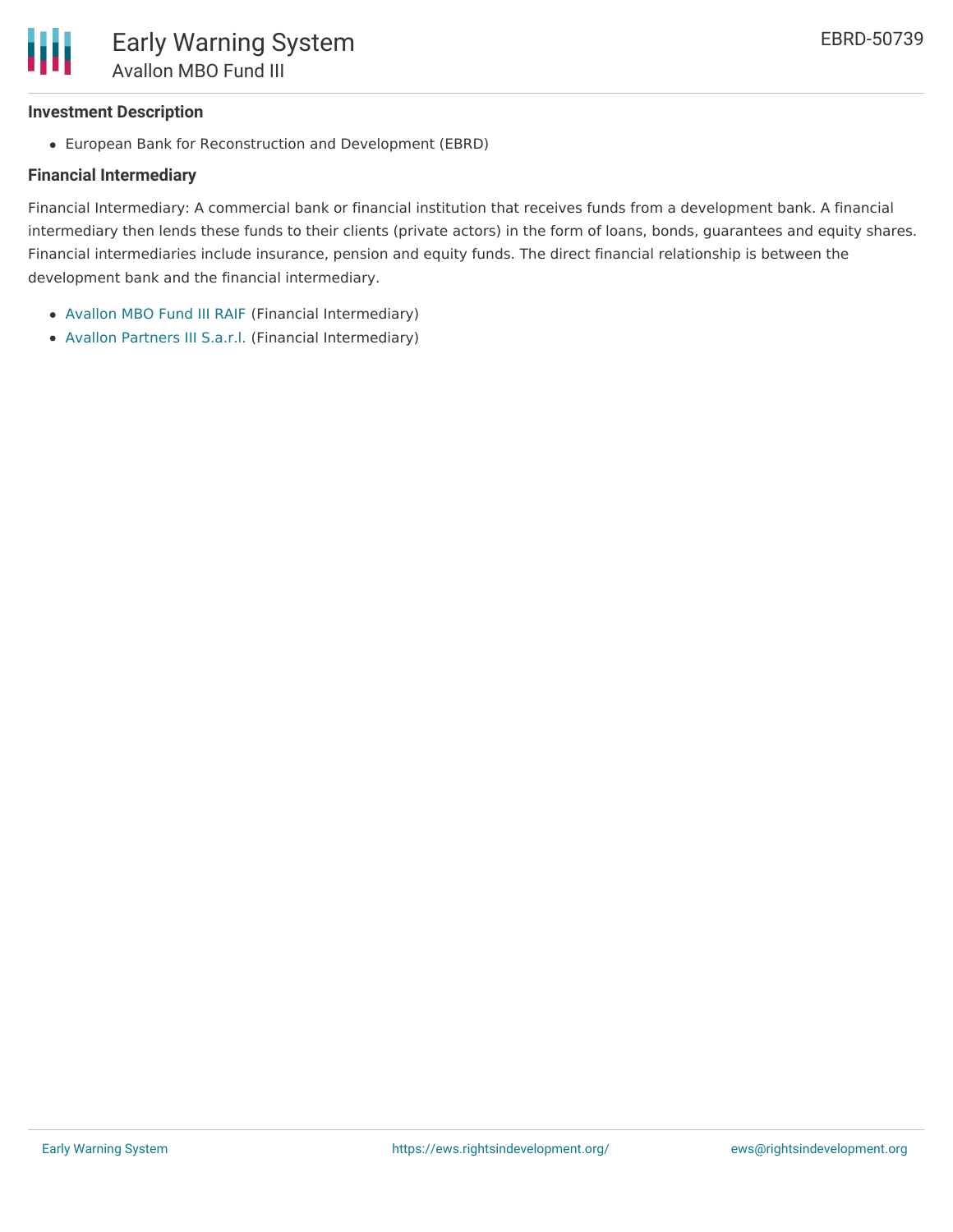

#### **Investment Description**

European Bank for Reconstruction and Development (EBRD)

### **Financial Intermediary**

Financial Intermediary: A commercial bank or financial institution that receives funds from a development bank. A financial intermediary then lends these funds to their clients (private actors) in the form of loans, bonds, guarantees and equity shares. Financial intermediaries include insurance, pension and equity funds. The direct financial relationship is between the development bank and the financial intermediary.

- [Avallon](file:///actor/2155/) MBO Fund III RAIF (Financial Intermediary)
- Avallon [Partners](file:///actor/2156/) III S.a.r.l. (Financial Intermediary)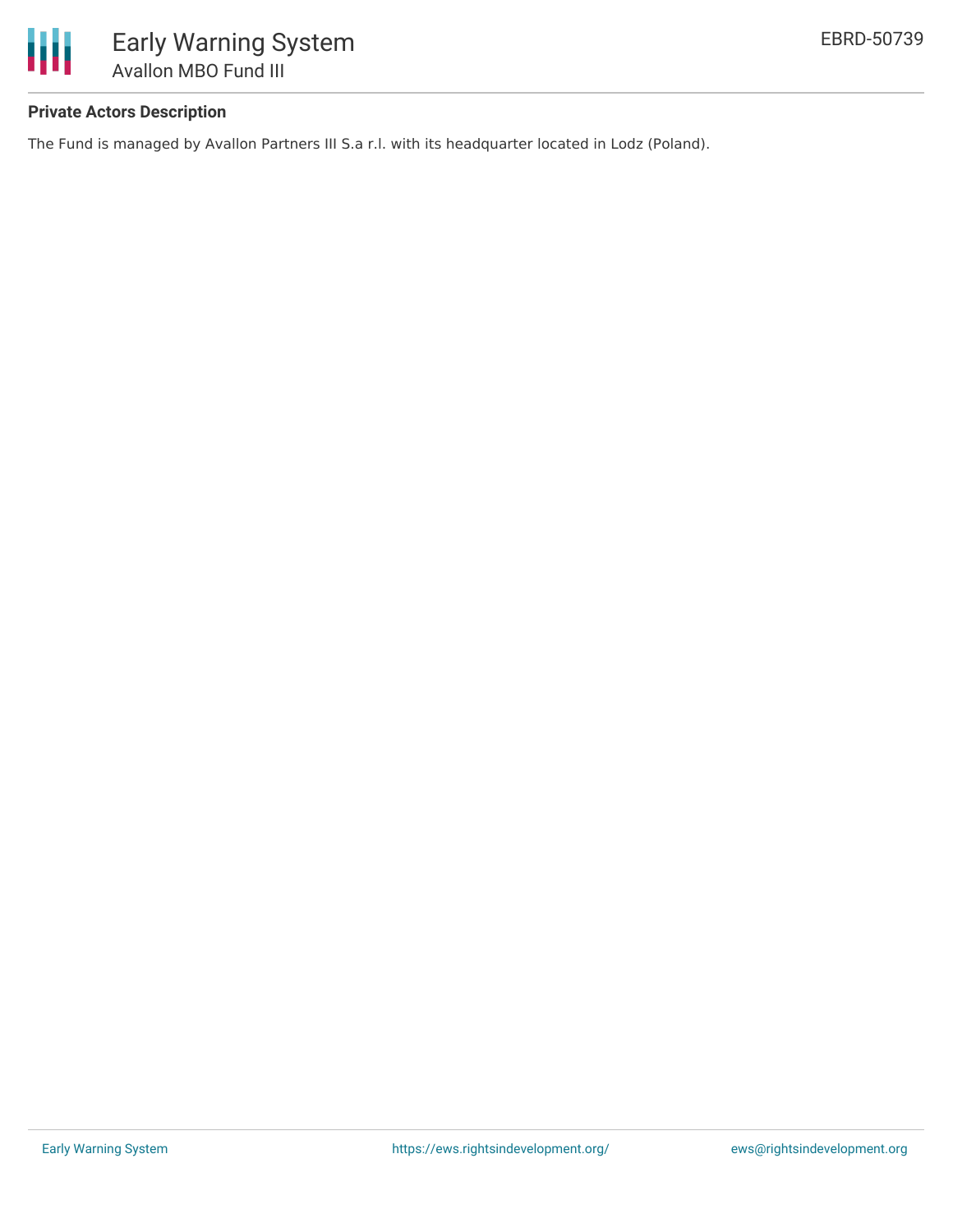

## **Private Actors Description**

The Fund is managed by Avallon Partners III S.a r.l. with its headquarter located in Lodz (Poland).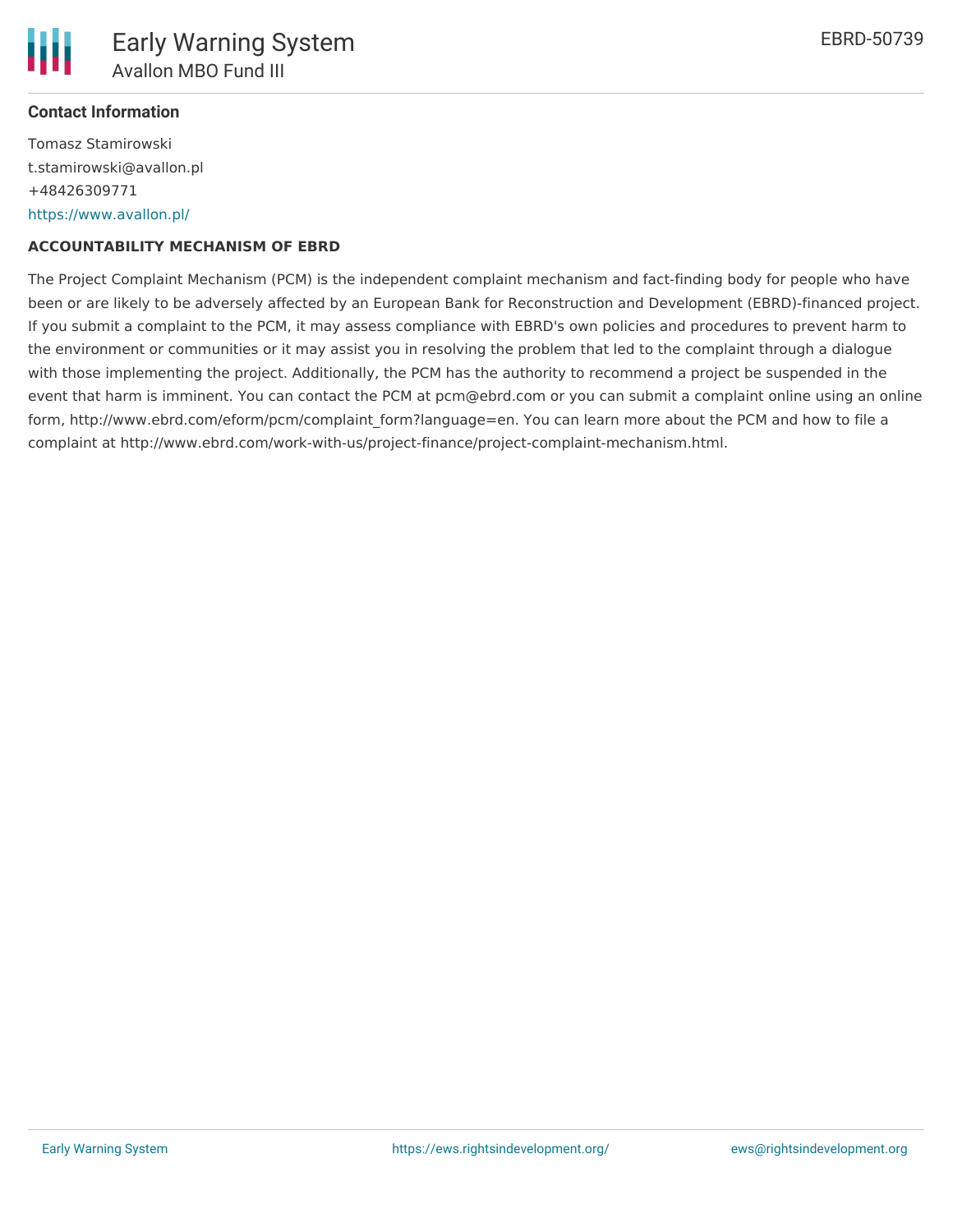

#### **Contact Information**

Tomasz Stamirowski t.stamirowski@avallon.pl +48426309771 <https://www.avallon.pl/>

#### **ACCOUNTABILITY MECHANISM OF EBRD**

The Project Complaint Mechanism (PCM) is the independent complaint mechanism and fact-finding body for people who have been or are likely to be adversely affected by an European Bank for Reconstruction and Development (EBRD)-financed project. If you submit a complaint to the PCM, it may assess compliance with EBRD's own policies and procedures to prevent harm to the environment or communities or it may assist you in resolving the problem that led to the complaint through a dialogue with those implementing the project. Additionally, the PCM has the authority to recommend a project be suspended in the event that harm is imminent. You can contact the PCM at pcm@ebrd.com or you can submit a complaint online using an online form, http://www.ebrd.com/eform/pcm/complaint form?language=en. You can learn more about the PCM and how to file a complaint at http://www.ebrd.com/work-with-us/project-finance/project-complaint-mechanism.html.